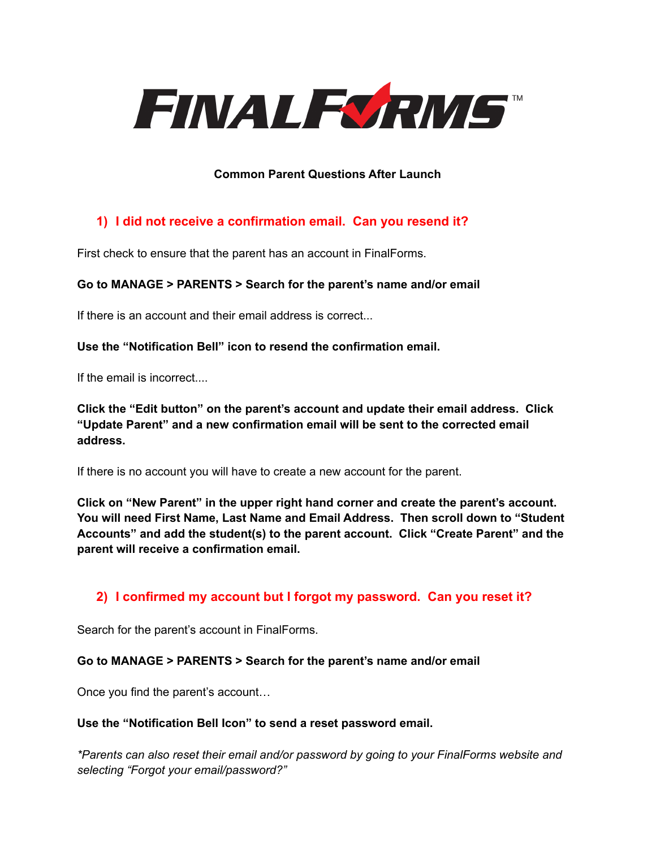

## **Common Parent Questions After Launch**

# **1) I did not receive a confirmation email. Can you resend it?**

First check to ensure that the parent has an account in FinalForms.

### **Go to MANAGE > PARENTS > Search for the parent's name and/or email**

If there is an account and their email address is correct...

#### **Use the "Notification Bell" icon to resend the confirmation email.**

If the email is incorrect....

**Click the "Edit button" on the parent's account and update their email address. Click "Update Parent" and a new confirmation email will be sent to the corrected email address.**

If there is no account you will have to create a new account for the parent.

**Click on "New Parent" in the upper right hand corner and create the parent's account. You will need First Name, Last Name and Email Address. Then scroll down to "Student Accounts" and add the student(s) to the parent account. Click "Create Parent" and the parent will receive a confirmation email.**

### **2) I confirmed my account but I forgot my password. Can you reset it?**

Search for the parent's account in FinalForms.

#### **Go to MANAGE > PARENTS > Search for the parent's name and/or email**

Once you find the parent's account…

#### **Use the "Notification Bell Icon" to send a reset password email.**

*\*Parents can also reset their email and/or password by going to your FinalForms website and selecting "Forgot your email/password?"*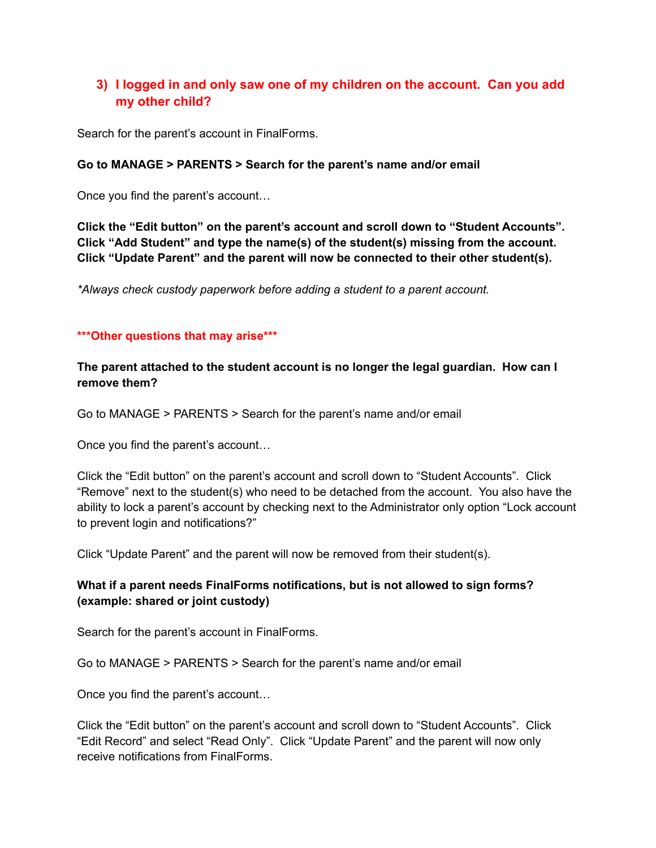## **3) I logged in and only saw one of my children on the account. Can you add my other child?**

Search for the parent's account in FinalForms.

#### **Go to MANAGE > PARENTS > Search for the parent's name and/or email**

Once you find the parent's account…

**Click the "Edit button" on the parent's account and scroll down to "Student Accounts". Click "Add Student" and type the name(s) of the student(s) missing from the account. Click "Update Parent" and the parent will now be connected to their other student(s).**

*\*Always check custody paperwork before adding a student to a parent account.*

#### **\*\*\*Other questions that may arise\*\*\***

**The parent attached to the student account is no longer the legal guardian. How can I remove them?**

Go to MANAGE > PARENTS > Search for the parent's name and/or email

Once you find the parent's account…

Click the "Edit button" on the parent's account and scroll down to "Student Accounts". Click "Remove" next to the student(s) who need to be detached from the account. You also have the ability to lock a parent's account by checking next to the Administrator only option "Lock account to prevent login and notifications?"

Click "Update Parent" and the parent will now be removed from their student(s).

### **What if a parent needs FinalForms notifications, but is not allowed to sign forms? (example: shared or joint custody)**

Search for the parent's account in FinalForms.

Go to MANAGE > PARENTS > Search for the parent's name and/or email

Once you find the parent's account…

Click the "Edit button" on the parent's account and scroll down to "Student Accounts". Click "Edit Record" and select "Read Only". Click "Update Parent" and the parent will now only receive notifications from FinalForms.